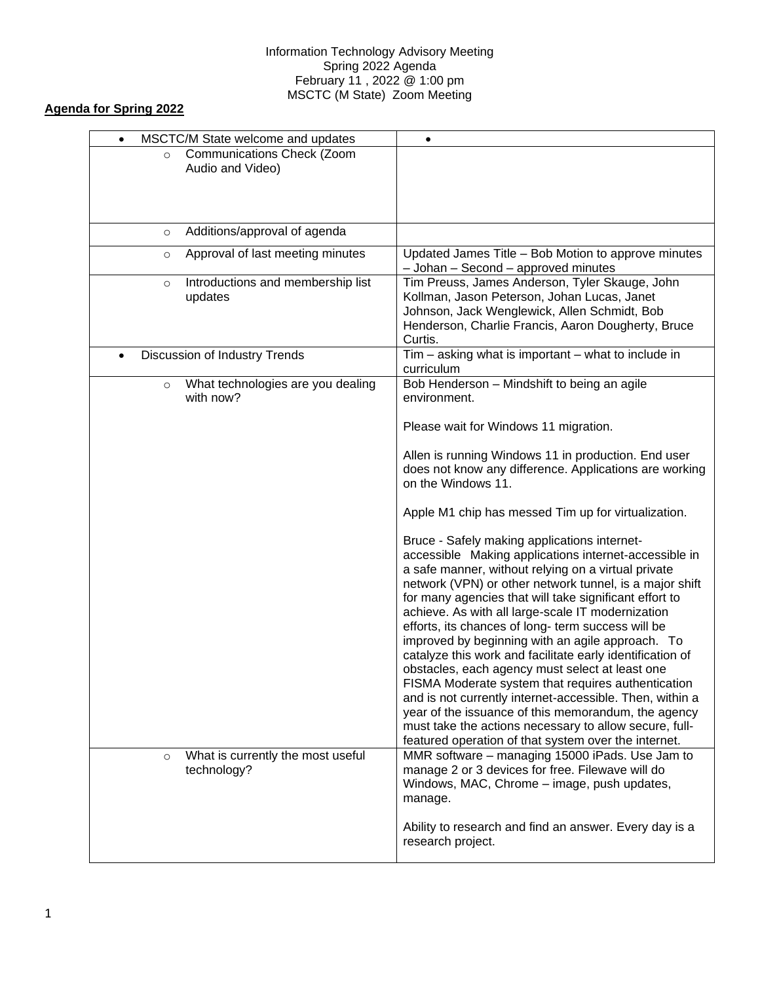## Information Technology Advisory Meeting Spring 2022 Agenda February 11 , 2022 @ 1:00 pm MSCTC (M State) Zoom Meeting

## **Agenda for Spring 2022**

| MSCTC/M State welcome and updates<br>$\bullet$            | $\bullet$                                                                                                                                                                                                                                                                                                                                                                                                                                                                                                                                                                                                                                                                                                                                                                                                                                                                                                      |
|-----------------------------------------------------------|----------------------------------------------------------------------------------------------------------------------------------------------------------------------------------------------------------------------------------------------------------------------------------------------------------------------------------------------------------------------------------------------------------------------------------------------------------------------------------------------------------------------------------------------------------------------------------------------------------------------------------------------------------------------------------------------------------------------------------------------------------------------------------------------------------------------------------------------------------------------------------------------------------------|
| Communications Check (Zoom<br>$\circ$<br>Audio and Video) |                                                                                                                                                                                                                                                                                                                                                                                                                                                                                                                                                                                                                                                                                                                                                                                                                                                                                                                |
| Additions/approval of agenda<br>$\circ$                   |                                                                                                                                                                                                                                                                                                                                                                                                                                                                                                                                                                                                                                                                                                                                                                                                                                                                                                                |
| Approval of last meeting minutes<br>$\circ$               | Updated James Title - Bob Motion to approve minutes<br>- Johan - Second - approved minutes                                                                                                                                                                                                                                                                                                                                                                                                                                                                                                                                                                                                                                                                                                                                                                                                                     |
| Introductions and membership list<br>$\circ$<br>updates   | Tim Preuss, James Anderson, Tyler Skauge, John<br>Kollman, Jason Peterson, Johan Lucas, Janet<br>Johnson, Jack Wenglewick, Allen Schmidt, Bob<br>Henderson, Charlie Francis, Aaron Dougherty, Bruce<br>Curtis.                                                                                                                                                                                                                                                                                                                                                                                                                                                                                                                                                                                                                                                                                                 |
| Discussion of Industry Trends                             | Tim - asking what is important - what to include in<br>curriculum                                                                                                                                                                                                                                                                                                                                                                                                                                                                                                                                                                                                                                                                                                                                                                                                                                              |
| What technologies are you dealing<br>$\circ$<br>with now? | Bob Henderson - Mindshift to being an agile<br>environment.                                                                                                                                                                                                                                                                                                                                                                                                                                                                                                                                                                                                                                                                                                                                                                                                                                                    |
|                                                           | Please wait for Windows 11 migration.                                                                                                                                                                                                                                                                                                                                                                                                                                                                                                                                                                                                                                                                                                                                                                                                                                                                          |
|                                                           | Allen is running Windows 11 in production. End user<br>does not know any difference. Applications are working<br>on the Windows 11.                                                                                                                                                                                                                                                                                                                                                                                                                                                                                                                                                                                                                                                                                                                                                                            |
|                                                           | Apple M1 chip has messed Tim up for virtualization.                                                                                                                                                                                                                                                                                                                                                                                                                                                                                                                                                                                                                                                                                                                                                                                                                                                            |
| What is currently the most useful<br>$\circ$              | Bruce - Safely making applications internet-<br>accessible Making applications internet-accessible in<br>a safe manner, without relying on a virtual private<br>network (VPN) or other network tunnel, is a major shift<br>for many agencies that will take significant effort to<br>achieve. As with all large-scale IT modernization<br>efforts, its chances of long- term success will be<br>improved by beginning with an agile approach. To<br>catalyze this work and facilitate early identification of<br>obstacles, each agency must select at least one<br>FISMA Moderate system that requires authentication<br>and is not currently internet-accessible. Then, within a<br>year of the issuance of this memorandum, the agency<br>must take the actions necessary to allow secure, full-<br>featured operation of that system over the internet.<br>MMR software - managing 15000 iPads. Use Jam to |
| technology?                                               | manage 2 or 3 devices for free. Filewave will do<br>Windows, MAC, Chrome - image, push updates,<br>manage.<br>Ability to research and find an answer. Every day is a<br>research project.                                                                                                                                                                                                                                                                                                                                                                                                                                                                                                                                                                                                                                                                                                                      |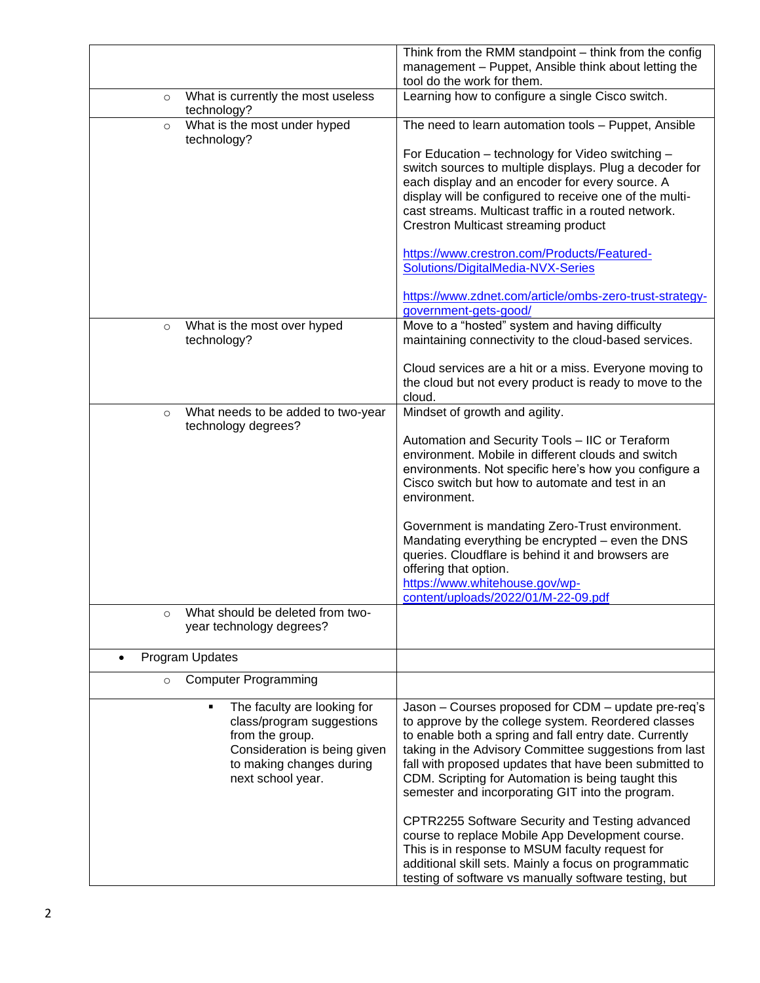|                                                                      | Think from the RMM standpoint - think from the config                                                        |
|----------------------------------------------------------------------|--------------------------------------------------------------------------------------------------------------|
|                                                                      | management - Puppet, Ansible think about letting the                                                         |
|                                                                      | tool do the work for them.                                                                                   |
| What is currently the most useless<br>$\circ$<br>technology?         | Learning how to configure a single Cisco switch.                                                             |
| What is the most under hyped<br>$\circ$<br>technology?               | The need to learn automation tools - Puppet, Ansible                                                         |
|                                                                      | For Education - technology for Video switching -<br>switch sources to multiple displays. Plug a decoder for  |
|                                                                      | each display and an encoder for every source. A                                                              |
|                                                                      | display will be configured to receive one of the multi-                                                      |
|                                                                      | cast streams. Multicast traffic in a routed network.                                                         |
|                                                                      | Crestron Multicast streaming product                                                                         |
|                                                                      | https://www.crestron.com/Products/Featured-                                                                  |
|                                                                      | Solutions/DigitalMedia-NVX-Series                                                                            |
|                                                                      | https://www.zdnet.com/article/ombs-zero-trust-strategy-                                                      |
|                                                                      | government-gets-good/                                                                                        |
| What is the most over hyped<br>$\circ$                               | Move to a "hosted" system and having difficulty                                                              |
| technology?                                                          | maintaining connectivity to the cloud-based services.                                                        |
|                                                                      | Cloud services are a hit or a miss. Everyone moving to                                                       |
|                                                                      | the cloud but not every product is ready to move to the                                                      |
|                                                                      | cloud.                                                                                                       |
| What needs to be added to two-year<br>$\circ$<br>technology degrees? | Mindset of growth and agility.                                                                               |
|                                                                      | Automation and Security Tools - IIC or Teraform                                                              |
|                                                                      | environment. Mobile in different clouds and switch<br>environments. Not specific here's how you configure a  |
|                                                                      | Cisco switch but how to automate and test in an                                                              |
|                                                                      | environment.                                                                                                 |
|                                                                      | Government is mandating Zero-Trust environment.                                                              |
|                                                                      | Mandating everything be encrypted - even the DNS                                                             |
|                                                                      | queries. Cloudflare is behind it and browsers are                                                            |
|                                                                      | offering that option.                                                                                        |
|                                                                      | https://www.whitehouse.gov/wp-<br>content/uploads/2022/01/M-22-09.pdf                                        |
| What should be deleted from two-<br>$\circ$                          |                                                                                                              |
| year technology degrees?                                             |                                                                                                              |
| Program Updates                                                      |                                                                                                              |
| <b>Computer Programming</b><br>$\circ$                               |                                                                                                              |
| The faculty are looking for<br>٠                                     | Jason - Courses proposed for CDM - update pre-req's                                                          |
| class/program suggestions                                            | to approve by the college system. Reordered classes                                                          |
| from the group.                                                      | to enable both a spring and fall entry date. Currently                                                       |
| Consideration is being given                                         | taking in the Advisory Committee suggestions from last                                                       |
| to making changes during<br>next school year.                        | fall with proposed updates that have been submitted to<br>CDM. Scripting for Automation is being taught this |
|                                                                      | semester and incorporating GIT into the program.                                                             |
|                                                                      |                                                                                                              |
|                                                                      | CPTR2255 Software Security and Testing advanced<br>course to replace Mobile App Development course.          |
|                                                                      | This is in response to MSUM faculty request for                                                              |
|                                                                      | additional skill sets. Mainly a focus on programmatic                                                        |
|                                                                      | testing of software vs manually software testing, but                                                        |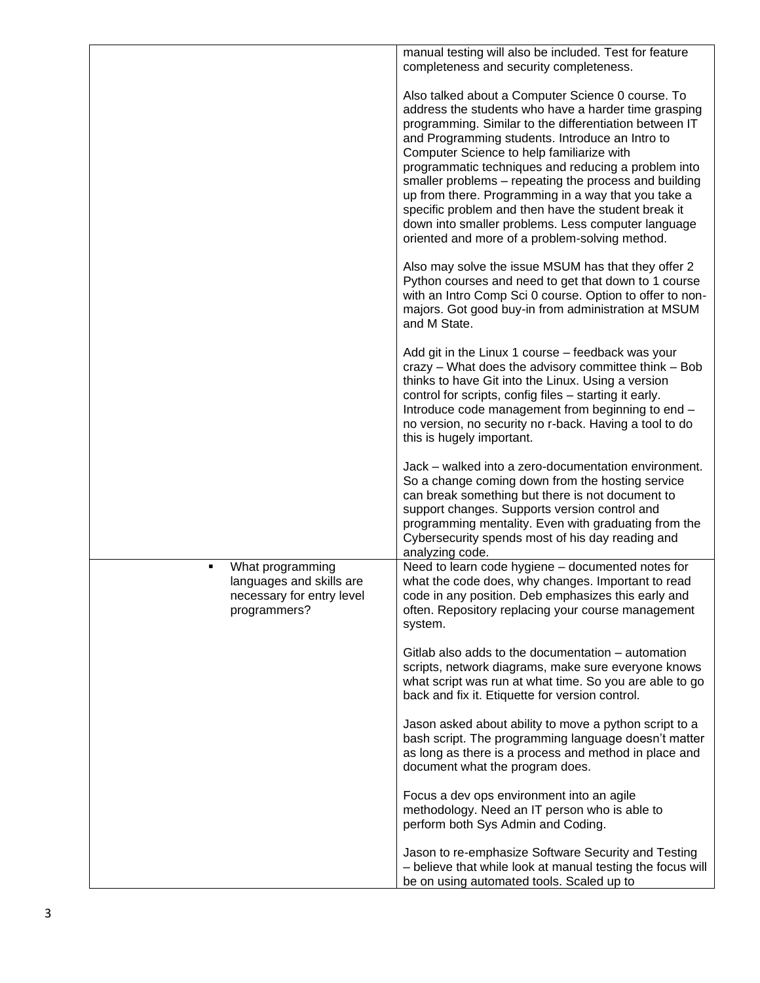|                                                                                                | manual testing will also be included. Test for feature<br>completeness and security completeness.                                                                                                                                                                                                                                                                                                                                                                                                                                                                                                         |
|------------------------------------------------------------------------------------------------|-----------------------------------------------------------------------------------------------------------------------------------------------------------------------------------------------------------------------------------------------------------------------------------------------------------------------------------------------------------------------------------------------------------------------------------------------------------------------------------------------------------------------------------------------------------------------------------------------------------|
|                                                                                                | Also talked about a Computer Science 0 course. To<br>address the students who have a harder time grasping<br>programming. Similar to the differentiation between IT<br>and Programming students. Introduce an Intro to<br>Computer Science to help familiarize with<br>programmatic techniques and reducing a problem into<br>smaller problems - repeating the process and building<br>up from there. Programming in a way that you take a<br>specific problem and then have the student break it<br>down into smaller problems. Less computer language<br>oriented and more of a problem-solving method. |
|                                                                                                | Also may solve the issue MSUM has that they offer 2<br>Python courses and need to get that down to 1 course<br>with an Intro Comp Sci 0 course. Option to offer to non-<br>majors. Got good buy-in from administration at MSUM<br>and M State.                                                                                                                                                                                                                                                                                                                                                            |
|                                                                                                | Add git in the Linux 1 course - feedback was your<br>crazy - What does the advisory committee think - Bob<br>thinks to have Git into the Linux. Using a version<br>control for scripts, config files - starting it early.<br>Introduce code management from beginning to end -<br>no version, no security no r-back. Having a tool to do<br>this is hugely important.                                                                                                                                                                                                                                     |
|                                                                                                | Jack - walked into a zero-documentation environment.<br>So a change coming down from the hosting service<br>can break something but there is not document to<br>support changes. Supports version control and<br>programming mentality. Even with graduating from the<br>Cybersecurity spends most of his day reading and<br>analyzing code.                                                                                                                                                                                                                                                              |
| What programming<br>٠<br>languages and skills are<br>necessary for entry level<br>programmers? | Need to learn code hygiene - documented notes for<br>what the code does, why changes. Important to read<br>code in any position. Deb emphasizes this early and<br>often. Repository replacing your course management<br>system.                                                                                                                                                                                                                                                                                                                                                                           |
|                                                                                                | Gitlab also adds to the documentation – automation<br>scripts, network diagrams, make sure everyone knows<br>what script was run at what time. So you are able to go<br>back and fix it. Etiquette for version control.                                                                                                                                                                                                                                                                                                                                                                                   |
|                                                                                                | Jason asked about ability to move a python script to a<br>bash script. The programming language doesn't matter<br>as long as there is a process and method in place and<br>document what the program does.                                                                                                                                                                                                                                                                                                                                                                                                |
|                                                                                                | Focus a dev ops environment into an agile<br>methodology. Need an IT person who is able to<br>perform both Sys Admin and Coding.                                                                                                                                                                                                                                                                                                                                                                                                                                                                          |
|                                                                                                | Jason to re-emphasize Software Security and Testing<br>- believe that while look at manual testing the focus will<br>be on using automated tools. Scaled up to                                                                                                                                                                                                                                                                                                                                                                                                                                            |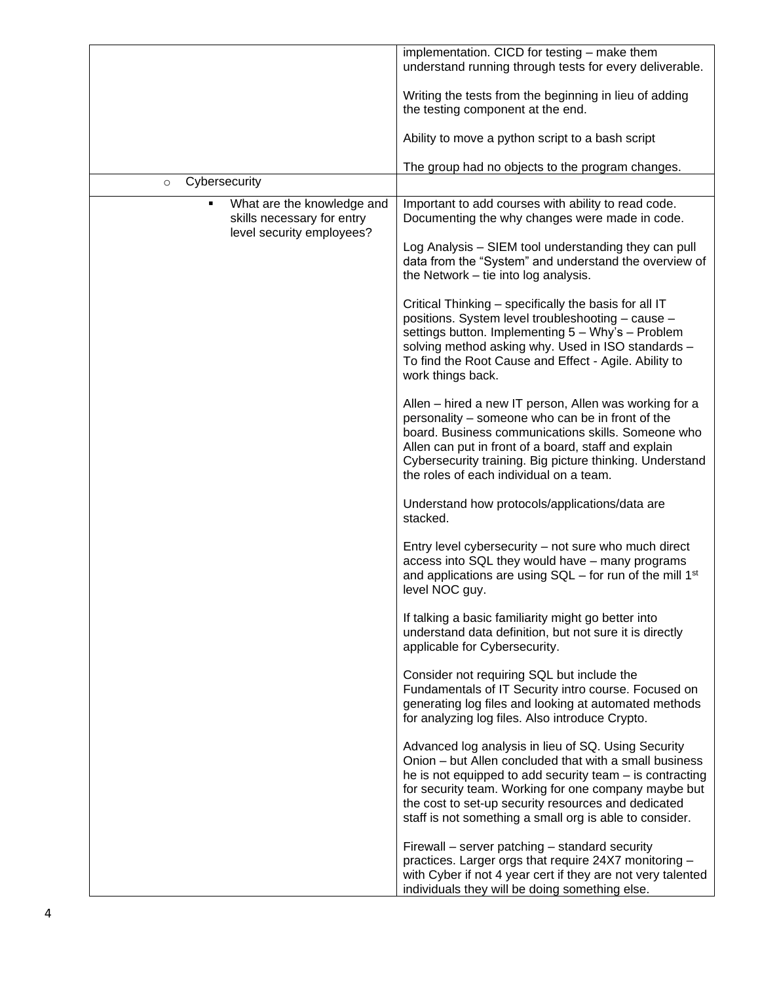|                                                                                       | implementation. CICD for testing - make them<br>understand running through tests for every deliverable.                                                                                                                                                                                                                                             |
|---------------------------------------------------------------------------------------|-----------------------------------------------------------------------------------------------------------------------------------------------------------------------------------------------------------------------------------------------------------------------------------------------------------------------------------------------------|
|                                                                                       | Writing the tests from the beginning in lieu of adding<br>the testing component at the end.                                                                                                                                                                                                                                                         |
|                                                                                       | Ability to move a python script to a bash script                                                                                                                                                                                                                                                                                                    |
| Cybersecurity                                                                         | The group had no objects to the program changes.                                                                                                                                                                                                                                                                                                    |
| $\circ$                                                                               |                                                                                                                                                                                                                                                                                                                                                     |
| What are the knowledge and<br>skills necessary for entry<br>level security employees? | Important to add courses with ability to read code.<br>Documenting the why changes were made in code.                                                                                                                                                                                                                                               |
|                                                                                       | Log Analysis - SIEM tool understanding they can pull<br>data from the "System" and understand the overview of<br>the Network – tie into log analysis.                                                                                                                                                                                               |
|                                                                                       | Critical Thinking - specifically the basis for all IT<br>positions. System level troubleshooting - cause -<br>settings button. Implementing 5 - Why's - Problem<br>solving method asking why. Used in ISO standards -<br>To find the Root Cause and Effect - Agile. Ability to<br>work things back.                                                 |
|                                                                                       | Allen - hired a new IT person, Allen was working for a<br>personality - someone who can be in front of the<br>board. Business communications skills. Someone who<br>Allen can put in front of a board, staff and explain<br>Cybersecurity training. Big picture thinking. Understand<br>the roles of each individual on a team.                     |
|                                                                                       | Understand how protocols/applications/data are<br>stacked.                                                                                                                                                                                                                                                                                          |
|                                                                                       | Entry level cybersecurity – not sure who much direct<br>access into SQL they would have - many programs<br>and applications are using $SQL$ – for run of the mill 1 <sup>st</sup><br>level NOC guy.                                                                                                                                                 |
|                                                                                       | If talking a basic familiarity might go better into<br>understand data definition, but not sure it is directly<br>applicable for Cybersecurity.                                                                                                                                                                                                     |
|                                                                                       | Consider not requiring SQL but include the<br>Fundamentals of IT Security intro course. Focused on<br>generating log files and looking at automated methods<br>for analyzing log files. Also introduce Crypto.                                                                                                                                      |
|                                                                                       | Advanced log analysis in lieu of SQ. Using Security<br>Onion - but Allen concluded that with a small business<br>he is not equipped to add security team - is contracting<br>for security team. Working for one company maybe but<br>the cost to set-up security resources and dedicated<br>staff is not something a small org is able to consider. |
|                                                                                       | Firewall – server patching – standard security<br>practices. Larger orgs that require 24X7 monitoring -<br>with Cyber if not 4 year cert if they are not very talented<br>individuals they will be doing something else.                                                                                                                            |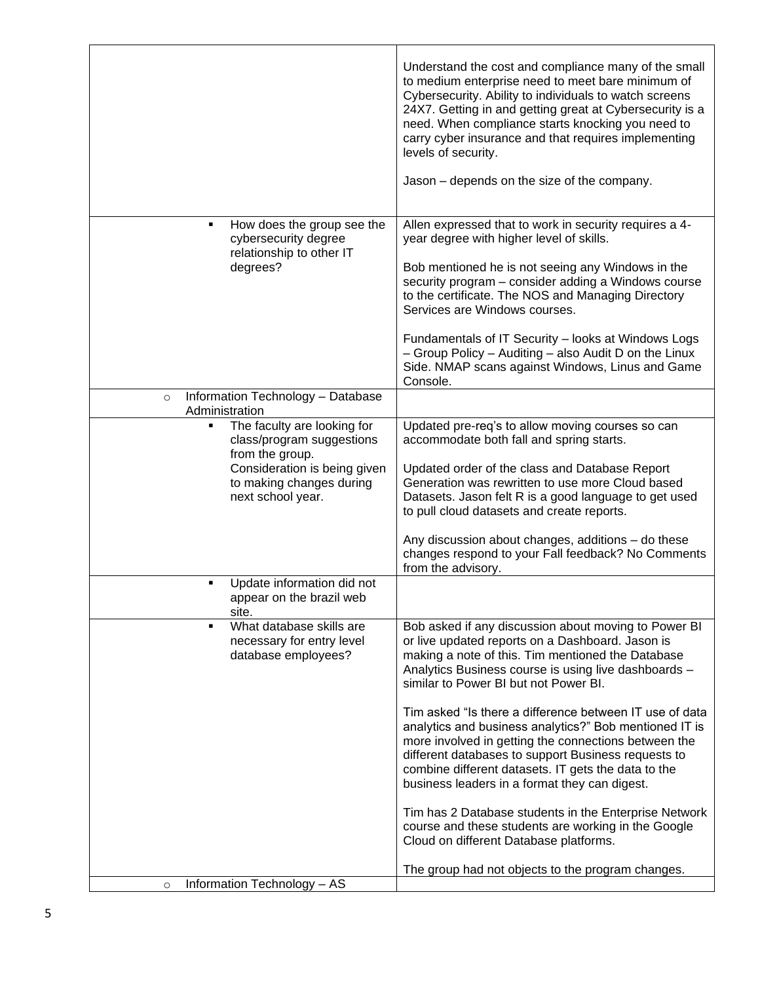|                                                                                                                                                                   | Understand the cost and compliance many of the small<br>to medium enterprise need to meet bare minimum of<br>Cybersecurity. Ability to individuals to watch screens<br>24X7. Getting in and getting great at Cybersecurity is a<br>need. When compliance starts knocking you need to<br>carry cyber insurance and that requires implementing<br>levels of security.<br>Jason – depends on the size of the company.                                                                                                                                                                                                                                                                                                                                                   |
|-------------------------------------------------------------------------------------------------------------------------------------------------------------------|----------------------------------------------------------------------------------------------------------------------------------------------------------------------------------------------------------------------------------------------------------------------------------------------------------------------------------------------------------------------------------------------------------------------------------------------------------------------------------------------------------------------------------------------------------------------------------------------------------------------------------------------------------------------------------------------------------------------------------------------------------------------|
| How does the group see the<br>٠<br>cybersecurity degree<br>relationship to other IT<br>degrees?                                                                   | Allen expressed that to work in security requires a 4-<br>year degree with higher level of skills.<br>Bob mentioned he is not seeing any Windows in the<br>security program - consider adding a Windows course<br>to the certificate. The NOS and Managing Directory<br>Services are Windows courses.<br>Fundamentals of IT Security - looks at Windows Logs<br>- Group Policy - Auditing - also Audit D on the Linux<br>Side. NMAP scans against Windows, Linus and Game<br>Console.                                                                                                                                                                                                                                                                                |
| Information Technology - Database<br>$\circ$<br>Administration                                                                                                    |                                                                                                                                                                                                                                                                                                                                                                                                                                                                                                                                                                                                                                                                                                                                                                      |
| The faculty are looking for<br>٠<br>class/program suggestions<br>from the group.<br>Consideration is being given<br>to making changes during<br>next school year. | Updated pre-req's to allow moving courses so can<br>accommodate both fall and spring starts.<br>Updated order of the class and Database Report<br>Generation was rewritten to use more Cloud based<br>Datasets. Jason felt R is a good language to get used<br>to pull cloud datasets and create reports.<br>Any discussion about changes, additions - do these<br>changes respond to your Fall feedback? No Comments<br>from the advisory.                                                                                                                                                                                                                                                                                                                          |
| Update information did not<br>appear on the brazil web<br>site.                                                                                                   |                                                                                                                                                                                                                                                                                                                                                                                                                                                                                                                                                                                                                                                                                                                                                                      |
| What database skills are<br>Ξ<br>necessary for entry level<br>database employees?                                                                                 | Bob asked if any discussion about moving to Power BI<br>or live updated reports on a Dashboard. Jason is<br>making a note of this. Tim mentioned the Database<br>Analytics Business course is using live dashboards -<br>similar to Power BI but not Power BI.<br>Tim asked "Is there a difference between IT use of data<br>analytics and business analytics?" Bob mentioned IT is<br>more involved in getting the connections between the<br>different databases to support Business requests to<br>combine different datasets. IT gets the data to the<br>business leaders in a format they can digest.<br>Tim has 2 Database students in the Enterprise Network<br>course and these students are working in the Google<br>Cloud on different Database platforms. |
| Information Technology - AS<br>$\circ$                                                                                                                            | The group had not objects to the program changes.                                                                                                                                                                                                                                                                                                                                                                                                                                                                                                                                                                                                                                                                                                                    |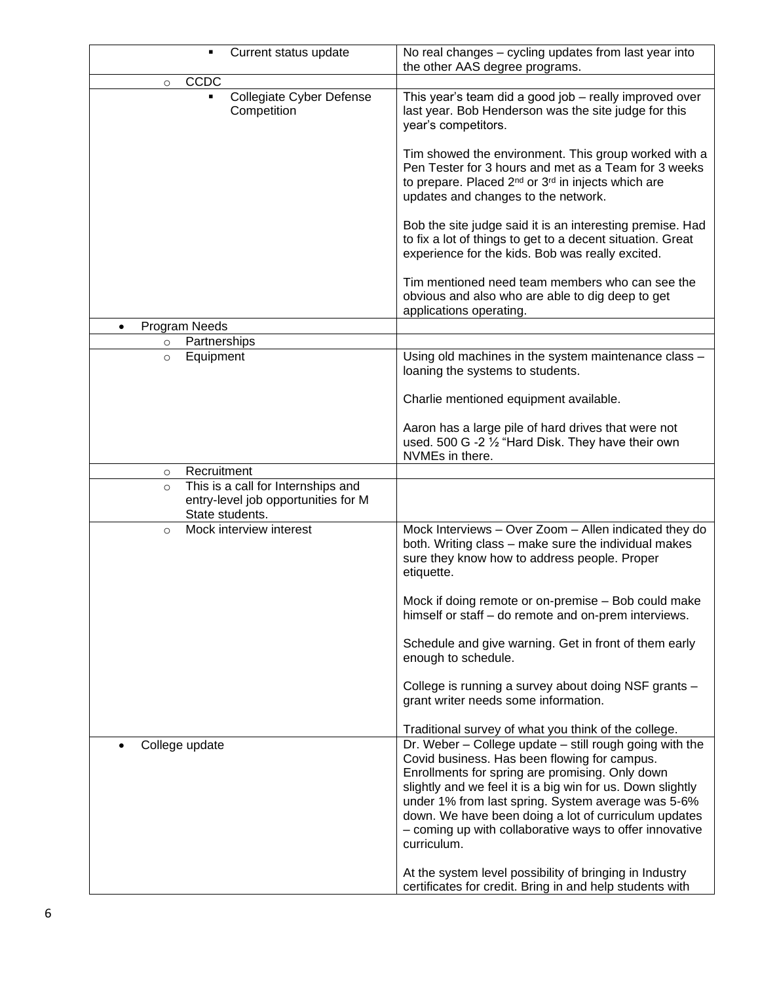| Current status update                                                                                   | No real changes - cycling updates from last year into<br>the other AAS degree programs.                                                                                                                                                                                                                                                                                                                          |
|---------------------------------------------------------------------------------------------------------|------------------------------------------------------------------------------------------------------------------------------------------------------------------------------------------------------------------------------------------------------------------------------------------------------------------------------------------------------------------------------------------------------------------|
| CCDC<br>$\circ$                                                                                         |                                                                                                                                                                                                                                                                                                                                                                                                                  |
| Collegiate Cyber Defense<br>Competition                                                                 | This year's team did a good job - really improved over<br>last year. Bob Henderson was the site judge for this<br>year's competitors.                                                                                                                                                                                                                                                                            |
|                                                                                                         | Tim showed the environment. This group worked with a<br>Pen Tester for 3 hours and met as a Team for 3 weeks<br>to prepare. Placed 2 <sup>nd</sup> or 3 <sup>rd</sup> in injects which are<br>updates and changes to the network.                                                                                                                                                                                |
|                                                                                                         | Bob the site judge said it is an interesting premise. Had<br>to fix a lot of things to get to a decent situation. Great<br>experience for the kids. Bob was really excited.                                                                                                                                                                                                                                      |
|                                                                                                         | Tim mentioned need team members who can see the<br>obvious and also who are able to dig deep to get<br>applications operating.                                                                                                                                                                                                                                                                                   |
| Program Needs                                                                                           |                                                                                                                                                                                                                                                                                                                                                                                                                  |
| Partnerships<br>$\circ$                                                                                 |                                                                                                                                                                                                                                                                                                                                                                                                                  |
| Equipment<br>$\circ$                                                                                    | Using old machines in the system maintenance class -<br>loaning the systems to students.                                                                                                                                                                                                                                                                                                                         |
|                                                                                                         | Charlie mentioned equipment available.                                                                                                                                                                                                                                                                                                                                                                           |
|                                                                                                         | Aaron has a large pile of hard drives that were not<br>used. 500 G -2 1/2 "Hard Disk. They have their own<br>NVMEs in there.                                                                                                                                                                                                                                                                                     |
| Recruitment<br>$\circ$                                                                                  |                                                                                                                                                                                                                                                                                                                                                                                                                  |
| This is a call for Internships and<br>$\circ$<br>entry-level job opportunities for M<br>State students. |                                                                                                                                                                                                                                                                                                                                                                                                                  |
| Mock interview interest<br>$\circ$                                                                      | Mock Interviews - Over Zoom - Allen indicated they do<br>both. Writing class - make sure the individual makes<br>sure they know how to address people. Proper<br>etiquette.                                                                                                                                                                                                                                      |
|                                                                                                         | Mock if doing remote or on-premise - Bob could make<br>himself or staff - do remote and on-prem interviews.                                                                                                                                                                                                                                                                                                      |
|                                                                                                         | Schedule and give warning. Get in front of them early<br>enough to schedule.                                                                                                                                                                                                                                                                                                                                     |
|                                                                                                         | College is running a survey about doing NSF grants -<br>grant writer needs some information.                                                                                                                                                                                                                                                                                                                     |
|                                                                                                         | Traditional survey of what you think of the college.                                                                                                                                                                                                                                                                                                                                                             |
| College update                                                                                          | Dr. Weber - College update - still rough going with the<br>Covid business. Has been flowing for campus.<br>Enrollments for spring are promising. Only down<br>slightly and we feel it is a big win for us. Down slightly<br>under 1% from last spring. System average was 5-6%<br>down. We have been doing a lot of curriculum updates<br>- coming up with collaborative ways to offer innovative<br>curriculum. |
|                                                                                                         | At the system level possibility of bringing in Industry<br>certificates for credit. Bring in and help students with                                                                                                                                                                                                                                                                                              |